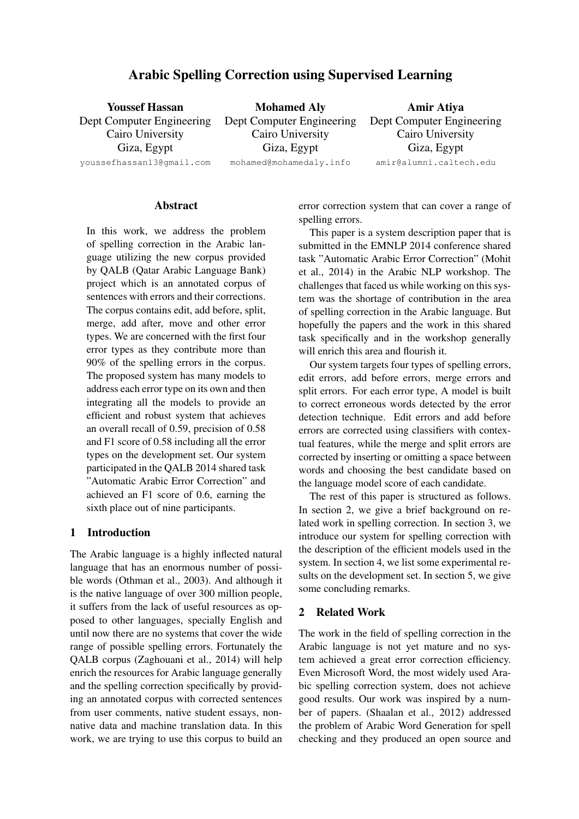# Arabic Spelling Correction using Supervised Learning

| <b>Youssef Hassan</b>     | <b>Mohamed Aly</b>        | Amir Atiya                |  |
|---------------------------|---------------------------|---------------------------|--|
| Dept Computer Engineering | Dept Computer Engineering | Dept Computer Engineering |  |
| Cairo University          | Cairo University          | Cairo University          |  |
| Giza, Egypt               | Giza, Egypt               | Giza, Egypt               |  |
| youssefhassan13@gmail.com | mohamed@mohamedaly.info   | amir@alumni.caltech.edu   |  |

#### **Abstract**

In this work, we address the problem of spelling correction in the Arabic language utilizing the new corpus provided by QALB (Qatar Arabic Language Bank) project which is an annotated corpus of sentences with errors and their corrections. The corpus contains edit, add before, split, merge, add after, move and other error types. We are concerned with the first four error types as they contribute more than 90% of the spelling errors in the corpus. The proposed system has many models to address each error type on its own and then integrating all the models to provide an efficient and robust system that achieves an overall recall of 0.59, precision of 0.58 and F1 score of 0.58 including all the error types on the development set. Our system participated in the QALB 2014 shared task "Automatic Arabic Error Correction" and achieved an F1 score of 0.6, earning the sixth place out of nine participants.

## 1 Introduction

The Arabic language is a highly inflected natural language that has an enormous number of possible words (Othman et al., 2003). And although it is the native language of over 300 million people, it suffers from the lack of useful resources as opposed to other languages, specially English and until now there are no systems that cover the wide range of possible spelling errors. Fortunately the QALB corpus (Zaghouani et al., 2014) will help enrich the resources for Arabic language generally and the spelling correction specifically by providing an annotated corpus with corrected sentences from user comments, native student essays, nonnative data and machine translation data. In this work, we are trying to use this corpus to build an error correction system that can cover a range of spelling errors.

This paper is a system description paper that is submitted in the EMNLP 2014 conference shared task "Automatic Arabic Error Correction" (Mohit et al., 2014) in the Arabic NLP workshop. The challenges that faced us while working on this system was the shortage of contribution in the area of spelling correction in the Arabic language. But hopefully the papers and the work in this shared task specifically and in the workshop generally will enrich this area and flourish it.

Our system targets four types of spelling errors, edit errors, add before errors, merge errors and split errors. For each error type, A model is built to correct erroneous words detected by the error detection technique. Edit errors and add before errors are corrected using classifiers with contextual features, while the merge and split errors are corrected by inserting or omitting a space between words and choosing the best candidate based on the language model score of each candidate.

The rest of this paper is structured as follows. In section 2, we give a brief background on related work in spelling correction. In section 3, we introduce our system for spelling correction with the description of the efficient models used in the system. In section 4, we list some experimental results on the development set. In section 5, we give some concluding remarks.

## 2 Related Work

The work in the field of spelling correction in the Arabic language is not yet mature and no system achieved a great error correction efficiency. Even Microsoft Word, the most widely used Arabic spelling correction system, does not achieve good results. Our work was inspired by a number of papers. (Shaalan et al., 2012) addressed the problem of Arabic Word Generation for spell checking and they produced an open source and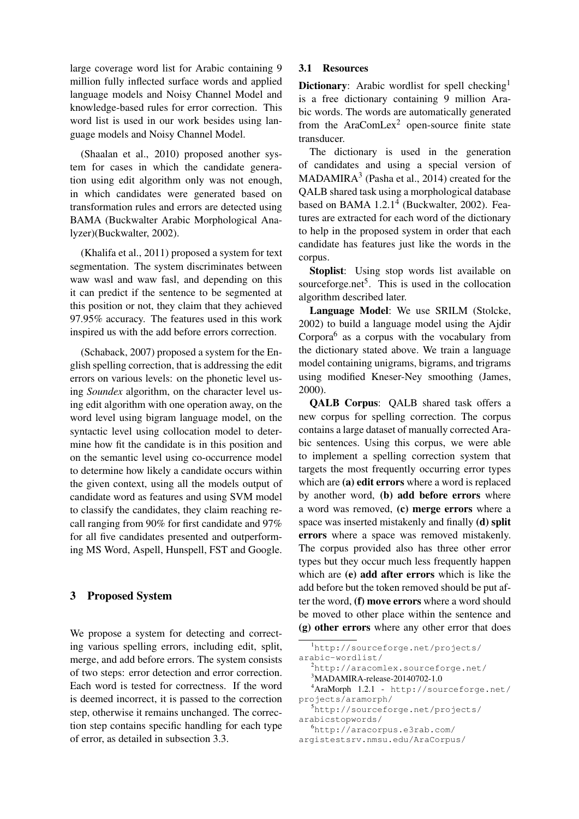large coverage word list for Arabic containing 9 million fully inflected surface words and applied language models and Noisy Channel Model and knowledge-based rules for error correction. This word list is used in our work besides using language models and Noisy Channel Model.

(Shaalan et al., 2010) proposed another system for cases in which the candidate generation using edit algorithm only was not enough, in which candidates were generated based on transformation rules and errors are detected using BAMA (Buckwalter Arabic Morphological Analyzer)(Buckwalter, 2002).

(Khalifa et al., 2011) proposed a system for text segmentation. The system discriminates between waw wasl and waw fasl, and depending on this it can predict if the sentence to be segmented at this position or not, they claim that they achieved 97.95% accuracy. The features used in this work inspired us with the add before errors correction.

(Schaback, 2007) proposed a system for the English spelling correction, that is addressing the edit errors on various levels: on the phonetic level using *Soundex* algorithm, on the character level using edit algorithm with one operation away, on the word level using bigram language model, on the syntactic level using collocation model to determine how fit the candidate is in this position and on the semantic level using co-occurrence model to determine how likely a candidate occurs within the given context, using all the models output of candidate word as features and using SVM model to classify the candidates, they claim reaching recall ranging from 90% for first candidate and 97% for all five candidates presented and outperforming MS Word, Aspell, Hunspell, FST and Google.

## 3 Proposed System

We propose a system for detecting and correcting various spelling errors, including edit, split, merge, and add before errors. The system consists of two steps: error detection and error correction. Each word is tested for correctness. If the word is deemed incorrect, it is passed to the correction step, otherwise it remains unchanged. The correction step contains specific handling for each type of error, as detailed in subsection 3.3.

## 3.1 Resources

**Dictionary:** Arabic wordlist for spell checking<sup>1</sup> is a free dictionary containing 9 million Arabic words. The words are automatically generated from the AraComLex<sup>2</sup> open-source finite state transducer.

The dictionary is used in the generation of candidates and using a special version of MADAMIRA<sup>3</sup> (Pasha et al., 2014) created for the QALB shared task using a morphological database based on BAMA 1.2.1<sup>4</sup> (Buckwalter, 2002). Features are extracted for each word of the dictionary to help in the proposed system in order that each candidate has features just like the words in the corpus.

Stoplist: Using stop words list available on sourceforge.net<sup>5</sup>. This is used in the collocation algorithm described later.

Language Model: We use SRILM (Stolcke, 2002) to build a language model using the Ajdir Corpora<sup>6</sup> as a corpus with the vocabulary from the dictionary stated above. We train a language model containing unigrams, bigrams, and trigrams using modified Kneser-Ney smoothing (James, 2000).

QALB Corpus: QALB shared task offers a new corpus for spelling correction. The corpus contains a large dataset of manually corrected Arabic sentences. Using this corpus, we were able to implement a spelling correction system that targets the most frequently occurring error types which are (a) edit errors where a word is replaced by another word, (b) add before errors where a word was removed, (c) merge errors where a space was inserted mistakenly and finally (d) split errors where a space was removed mistakenly. The corpus provided also has three other error types but they occur much less frequently happen which are (e) add after errors which is like the add before but the token removed should be put after the word, (f) move errors where a word should be moved to other place within the sentence and (g) other errors where any other error that does

```
3MADAMIRA-release-20140702-1.0
```

```
4AraMorph 1.2.1 - http://sourceforge.net/
projects/aramorph/
```

```
5http://sourceforge.net/projects/
arabicstopwords/
```
<sup>6</sup>http://aracorpus.e3rab.com/

argistestsrv.nmsu.edu/AraCorpus/

<sup>1</sup>http://sourceforge.net/projects/ arabic-wordlist/ <sup>2</sup>http://aracomlex.sourceforge.net/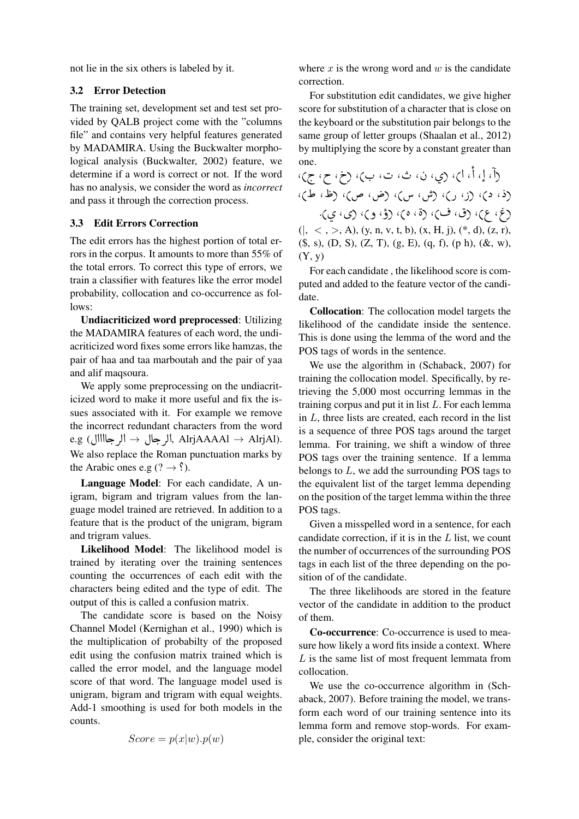not lie in the six others is labeled by it.

## 3.2 Error Detection

The training set, development set and test set provided by QALB project come with the "columns file" and contains very helpful features generated by MADAMIRA. Using the Buckwalter morphological analysis (Buckwalter, 2002) feature, we determine if a word is correct or not. If the word has no analysis, we consider the word as *incorrect* and pass it through the correction process.

### 3.3 Edit Errors Correction

The edit errors has the highest portion of total errors in the corpus. It amounts to more than 55% of the total errors. To correct this type of errors, we train a classifier with features like the error model probability, collocation and co-occurrence as follows:

Undiacriticized word preprocessed: Utilizing the MADAMIRA features of each word, the undiacriticized word fixes some errors like hamzas, the pair of haa and taa marboutah and the pair of yaa and alif maqsoura.

We apply some preprocessing on the undiacriticized word to make it more useful and fix the issues associated with it. For example we remove the incorrect redundant characters from the word e.g (الرجال → أبر جال → أبر جال → أبر AlrjAAAAl → AlrjAl). We also replace the Roman punctuation marks by the Arabic ones e.g (?  $\rightarrow$  ?).

Language Model: For each candidate, A unigram, bigram and trigram values from the language model trained are retrieved. In addition to a feature that is the product of the unigram, bigram and trigram values.

Likelihood Model: The likelihood model is trained by iterating over the training sentences counting the occurrences of each edit with the characters being edited and the type of edit. The output of this is called a confusion matrix.

The candidate score is based on the Noisy Channel Model (Kernighan et al., 1990) which is the multiplication of probabilty of the proposed edit using the confusion matrix trained which is called the error model, and the language model score of that word. The language model used is unigram, bigram and trigram with equal weights. Add-1 smoothing is used for both models in the counts.

$$
Score = p(x|w).p(w)
$$

where  $x$  is the wrong word and  $w$  is the candidate correction.

For substitution edit candidates, we give higher score for substitution of a character that is close on the keyboard or the substitution pair belongs to the same group of letter groups (Shaalan et al., 2012) by multiplying the score by a constant greater than one. ؚ<br>۽  $\overline{a}$ 

one.<br>إ، أ، اب، (ي، ن، ث، ت، ب)، (خ، ح، ج)، ļ , .<br>N ,( , ) ,( ,) ,( , ) ,(P , P) ,(X , X) رد، د)، رن، رس، س)، رض، ص)، ره.<br>رغ، ع)، رق، ف)، رة، ه)، رؤ، و)، ري، ي).  $(|, <, >, A), (y, n, v, t, b), (x, H, j), (*, d), (z, r),$ .<br>.. ֚֚֡<br>֚  $(\$, s), (D, S), (Z, T), (g, E), (q, f), (p, h), (\&, w),$  $(Y, y)$ 

For each candidate , the likelihood score is computed and added to the feature vector of the candidate.

Collocation: The collocation model targets the likelihood of the candidate inside the sentence. This is done using the lemma of the word and the POS tags of words in the sentence.

We use the algorithm in (Schaback, 2007) for training the collocation model. Specifically, by retrieving the 5,000 most occurring lemmas in the training corpus and put it in list  $L$ . For each lemma in  $L$ , three lists are created, each record in the list is a sequence of three POS tags around the target lemma. For training, we shift a window of three POS tags over the training sentence. If a lemma belongs to  $L$ , we add the surrounding POS tags to the equivalent list of the target lemma depending on the position of the target lemma within the three POS tags.

Given a misspelled word in a sentence, for each candidate correction, if it is in the L list, we count the number of occurrences of the surrounding POS tags in each list of the three depending on the position of of the candidate.

The three likelihoods are stored in the feature vector of the candidate in addition to the product of them.

Co-occurrence: Co-occurrence is used to measure how likely a word fits inside a context. Where L is the same list of most frequent lemmata from collocation.

We use the co-occurrence algorithm in (Schaback, 2007). Before training the model, we transform each word of our training sentence into its lemma form and remove stop-words. For example, consider the original text: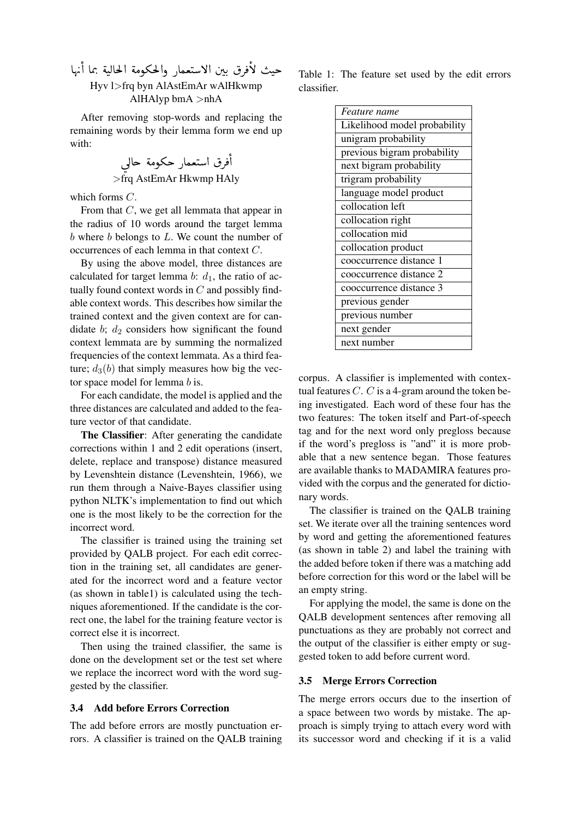حيث لأفرق بين الاستعمار والحكومة الحالية بما أنها e<br>S  $\overline{a}$  $\ddot{\cdot}$ j  $\ddot{\cdot}$ .<br>س .  $\overline{a}$  $\overline{a}$ e<br>S  $\ddot{\phantom{0}}$  $\ddot{\cdot}$ Hyv l>frq byn AlAstEmAr wAlHkwmp AlHAlyp bmA >nhA

After removing stop-words and replacing the remaining words by their lemma form we end up with: e<br>S

ú ÍAg éÓñºk PAÒª J@ Q ¯ @ >frq AstEmAr Hkwmp HAly

which forms C.

From that C, we get all lemmata that appear in the radius of 10 words around the target lemma  $b$  where  $b$  belongs to  $L$ . We count the number of occurrences of each lemma in that context C.

By using the above model, three distances are calculated for target lemma b:  $d_1$ , the ratio of actually found context words in  $C$  and possibly findable context words. This describes how similar the trained context and the given context are for candidate  $b$ ;  $d_2$  considers how significant the found context lemmata are by summing the normalized frequencies of the context lemmata. As a third feature;  $d_3(b)$  that simply measures how big the vector space model for lemma b is.

For each candidate, the model is applied and the three distances are calculated and added to the feature vector of that candidate.

The Classifier: After generating the candidate corrections within 1 and 2 edit operations (insert, delete, replace and transpose) distance measured by Levenshtein distance (Levenshtein, 1966), we run them through a Naive-Bayes classifier using python NLTK's implementation to find out which one is the most likely to be the correction for the incorrect word.

The classifier is trained using the training set provided by QALB project. For each edit correction in the training set, all candidates are generated for the incorrect word and a feature vector (as shown in table1) is calculated using the techniques aforementioned. If the candidate is the correct one, the label for the training feature vector is correct else it is incorrect.

Then using the trained classifier, the same is done on the development set or the test set where we replace the incorrect word with the word suggested by the classifier.

## 3.4 Add before Errors Correction

The add before errors are mostly punctuation errors. A classifier is trained on the QALB training

Table 1: The feature set used by the edit errors classifier.

| <i>Feature name</i>          |  |  |  |
|------------------------------|--|--|--|
| Likelihood model probability |  |  |  |
| unigram probability          |  |  |  |
| previous bigram probability  |  |  |  |
| next bigram probability      |  |  |  |
| trigram probability          |  |  |  |
| language model product       |  |  |  |
| collocation left             |  |  |  |
| collocation right            |  |  |  |
| collocation mid              |  |  |  |
| collocation product          |  |  |  |
| cooccurrence distance 1      |  |  |  |
| cooccurrence distance 2      |  |  |  |
| cooccurrence distance 3      |  |  |  |
| previous gender              |  |  |  |
| previous number              |  |  |  |
| next gender                  |  |  |  |
| next number                  |  |  |  |

corpus. A classifier is implemented with contextual features  $C$ .  $C$  is a 4-gram around the token being investigated. Each word of these four has the two features: The token itself and Part-of-speech tag and for the next word only pregloss because if the word's pregloss is "and" it is more probable that a new sentence began. Those features are available thanks to MADAMIRA features provided with the corpus and the generated for dictionary words.

The classifier is trained on the QALB training set. We iterate over all the training sentences word by word and getting the aforementioned features (as shown in table 2) and label the training with the added before token if there was a matching add before correction for this word or the label will be an empty string.

For applying the model, the same is done on the QALB development sentences after removing all punctuations as they are probably not correct and the output of the classifier is either empty or suggested token to add before current word.

#### 3.5 Merge Errors Correction

The merge errors occurs due to the insertion of a space between two words by mistake. The approach is simply trying to attach every word with its successor word and checking if it is a valid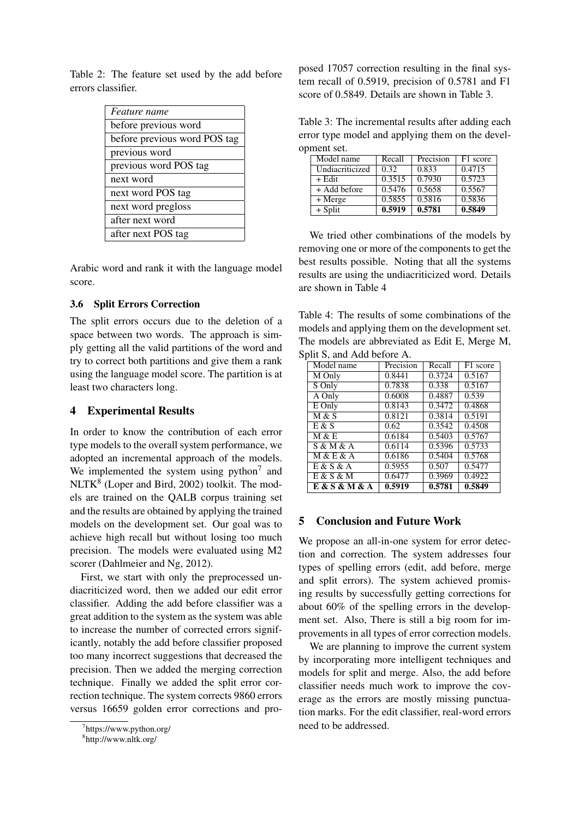Table 2: The feature set used by the add before errors classifier.

| Feature name                 |
|------------------------------|
| before previous word         |
| before previous word POS tag |
| previous word                |
| previous word POS tag        |
| next word                    |
| next word POS tag            |
| next word pregloss           |
| after next word              |
| after next POS tag           |

Arabic word and rank it with the language model score.

## 3.6 Split Errors Correction

The split errors occurs due to the deletion of a space between two words. The approach is simply getting all the valid partitions of the word and try to correct both partitions and give them a rank using the language model score. The partition is at least two characters long.

# 4 Experimental Results

In order to know the contribution of each error type models to the overall system performance, we adopted an incremental approach of the models. We implemented the system using python<sup>7</sup> and NLTK<sup>8</sup> (Loper and Bird, 2002) toolkit. The models are trained on the QALB corpus training set and the results are obtained by applying the trained models on the development set. Our goal was to achieve high recall but without losing too much precision. The models were evaluated using M2 scorer (Dahlmeier and Ng, 2012).

First, we start with only the preprocessed undiacriticized word, then we added our edit error classifier. Adding the add before classifier was a great addition to the system as the system was able to increase the number of corrected errors significantly, notably the add before classifier proposed too many incorrect suggestions that decreased the precision. Then we added the merging correction technique. Finally we added the split error correction technique. The system corrects 9860 errors versus 16659 golden error corrections and proposed 17057 correction resulting in the final system recall of 0.5919, precision of 0.5781 and F1 score of 0.5849. Details are shown in Table 3.

Table 3: The incremental results after adding each error type model and applying them on the development set.

| Model name      | Recall | Precision | F1 score |
|-----------------|--------|-----------|----------|
| Undiacriticized | 0.32   | 0.833     | 0.4715   |
| + Edit          | 0.3515 | 0.7930    | 0.5723   |
| $+A$ dd before  | 0.5476 | 0.5658    | 0.5567   |
| + Merge         | 0.5855 | 0.5816    | 0.5836   |
| $+$ Split       | 0.5919 | 0.5781    | 0.5849   |

We tried other combinations of the models by removing one or more of the components to get the best results possible. Noting that all the systems results are using the undiacriticized word. Details are shown in Table 4

Table 4: The results of some combinations of the models and applying them on the development set. The models are abbreviated as Edit E, Merge M, Split S, and Add before A.

| Model name               | Precision | Recall | F1 score |
|--------------------------|-----------|--------|----------|
| M Only                   | 0.8441    | 0.3724 | 0.5167   |
| S Only                   | 0.7838    | 0.338  | 0.5167   |
| A Only                   | 0.6008    | 0.4887 | 0.539    |
| $E$ Only                 | 0.8143    | 0.3472 | 0.4868   |
| M & S                    | 0.8121    | 0.3814 | 0.5191   |
| E & S                    | 0.62      | 0.3542 | 0.4508   |
| M & E                    | 0.6184    | 0.5403 | 0.5767   |
| S & M & A                | 0.6114    | 0.5396 | 0.5733   |
| <b>M &amp; E &amp; A</b> | 0.6186    | 0.5404 | 0.5768   |
| E & S & A                | 0.5955    | 0.507  | 0.5477   |
| E & S & M                | 0.6477    | 0.3969 | 0.4922   |
| E & S & M & A            | 0.5919    | 0.5781 | 0.5849   |

# 5 Conclusion and Future Work

We propose an all-in-one system for error detection and correction. The system addresses four types of spelling errors (edit, add before, merge and split errors). The system achieved promising results by successfully getting corrections for about 60% of the spelling errors in the development set. Also, There is still a big room for improvements in all types of error correction models.

We are planning to improve the current system by incorporating more intelligent techniques and models for split and merge. Also, the add before classifier needs much work to improve the coverage as the errors are mostly missing punctuation marks. For the edit classifier, real-word errors need to be addressed.

<sup>7</sup> https://www.python.org/

<sup>8</sup> http://www.nltk.org/